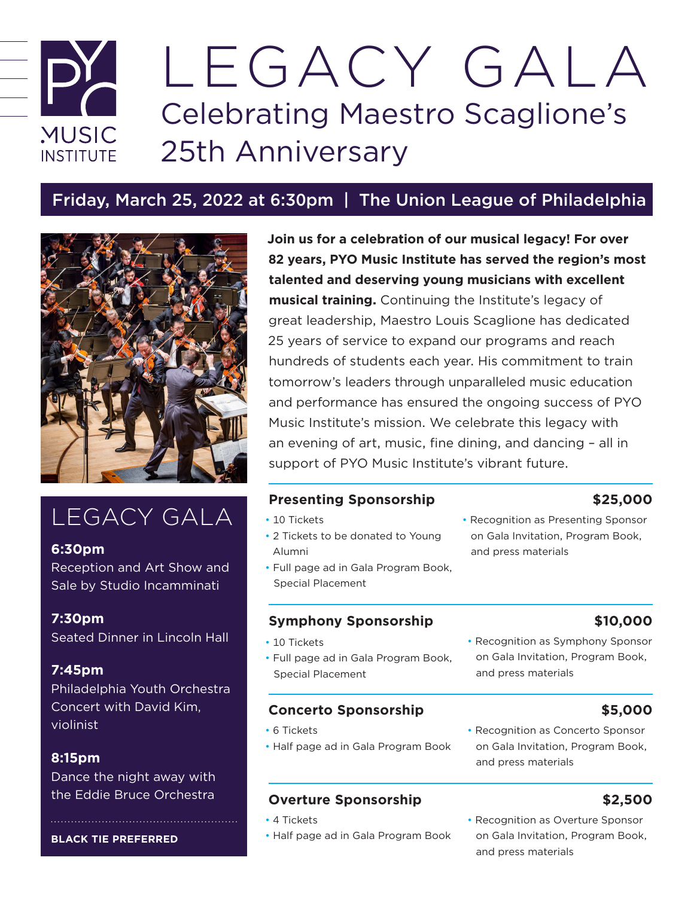# LEGACY GALA Celebrating Maestro Scaglione's **MUSIC** 25th Anniversary **INSTITUTE**

# Friday, March 25, 2022 at 6:30pm | The Union League of Philadelphia



# LEGACY GALA

# **6:30pm**

Reception and Art Show and Sale by Studio Incamminati

# **7:30pm**

Seated Dinner in Lincoln Hall

# **7:45pm**

Philadelphia Youth Orchestra Concert with David Kim, violinist

# **8:15pm**

Dance the night away with the Eddie Bruce Orchestra

### **BLACK TIE PREFERRED**

**Join us for a celebration of our musical legacy! For over 82 years, PYO Music Institute has served the region's most talented and deserving young musicians with excellent musical training.** Continuing the Institute's legacy of great leadership, Maestro Louis Scaglione has dedicated 25 years of service to expand our programs and reach hundreds of students each year. His commitment to train tomorrow's leaders through unparalleled music education and performance has ensured the ongoing success of PYO Music Institute's mission. We celebrate this legacy with an evening of art, music, fine dining, and dancing – all in support of PYO Music Institute's vibrant future.

# **Presenting Sponsorship \$25,000**

- 10 Tickets
- 2 Tickets to be donated to Young Alumni
- Full page ad in Gala Program Book, Special Placement

# **Symphony Sponsorship \$10,000**

- 10 Tickets
- Full page ad in Gala Program Book, Special Placement

# **Concerto Sponsorship \$5,000**

- 6 Tickets
- Half page ad in Gala Program Book

# **Overture Sponsorship 62,500**

- 4 Tickets
- Half page ad in Gala Program Book

### • Recognition as Presenting Sponsor on Gala Invitation, Program Book, and press materials

• Recognition as Symphony Sponsor on Gala Invitation, Program Book, and press materials

• Recognition as Concerto Sponsor on Gala Invitation, Program Book, and press materials

• Recognition as Overture Sponsor on Gala Invitation, Program Book, and press materials